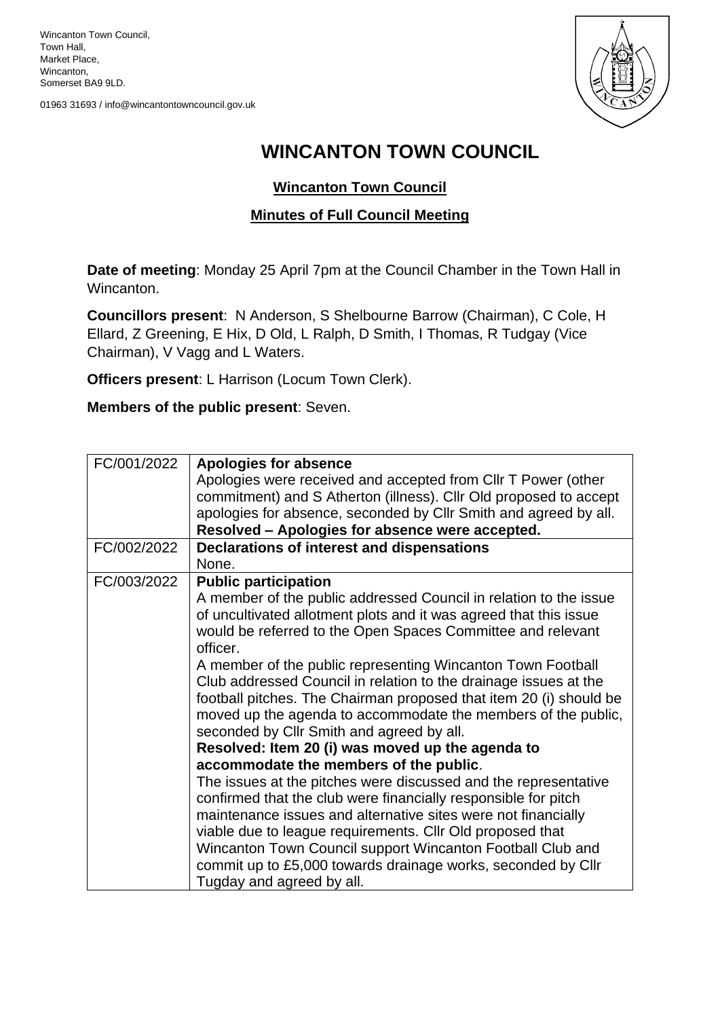Wincanton Town Council, Town Hall, Market Place, Wincanton, Somerset BA9 9LD.

01963 31693 / info@wincantontowncouncil.gov.uk



## **WINCANTON TOWN COUNCIL**

## **Wincanton Town Council**

## **Minutes of Full Council Meeting**

**Date of meeting**: Monday 25 April 7pm at the Council Chamber in the Town Hall in Wincanton.

**Councillors present**: N Anderson, S Shelbourne Barrow (Chairman), C Cole, H Ellard, Z Greening, E Hix, D Old, L Ralph, D Smith, I Thomas, R Tudgay (Vice Chairman), V Vagg and L Waters.

**Officers present**: L Harrison (Locum Town Clerk).

**Members of the public present**: Seven.

| FC/001/2022 | <b>Apologies for absence</b>                                       |
|-------------|--------------------------------------------------------------------|
|             | Apologies were received and accepted from CIIr T Power (other      |
|             | commitment) and S Atherton (illness). Cllr Old proposed to accept  |
|             | apologies for absence, seconded by Cllr Smith and agreed by all.   |
|             | Resolved - Apologies for absence were accepted.                    |
| FC/002/2022 | Declarations of interest and dispensations                         |
|             | None.                                                              |
| FC/003/2022 | <b>Public participation</b>                                        |
|             | A member of the public addressed Council in relation to the issue  |
|             | of uncultivated allotment plots and it was agreed that this issue  |
|             | would be referred to the Open Spaces Committee and relevant        |
|             | officer.                                                           |
|             | A member of the public representing Wincanton Town Football        |
|             | Club addressed Council in relation to the drainage issues at the   |
|             | football pitches. The Chairman proposed that item 20 (i) should be |
|             | moved up the agenda to accommodate the members of the public,      |
|             | seconded by Cllr Smith and agreed by all.                          |
|             | Resolved: Item 20 (i) was moved up the agenda to                   |
|             | accommodate the members of the public.                             |
|             | The issues at the pitches were discussed and the representative    |
|             | confirmed that the club were financially responsible for pitch     |
|             | maintenance issues and alternative sites were not financially      |
|             | viable due to league requirements. Cllr Old proposed that          |
|             | Wincanton Town Council support Wincanton Football Club and         |
|             | commit up to £5,000 towards drainage works, seconded by Cllr       |
|             | Tugday and agreed by all.                                          |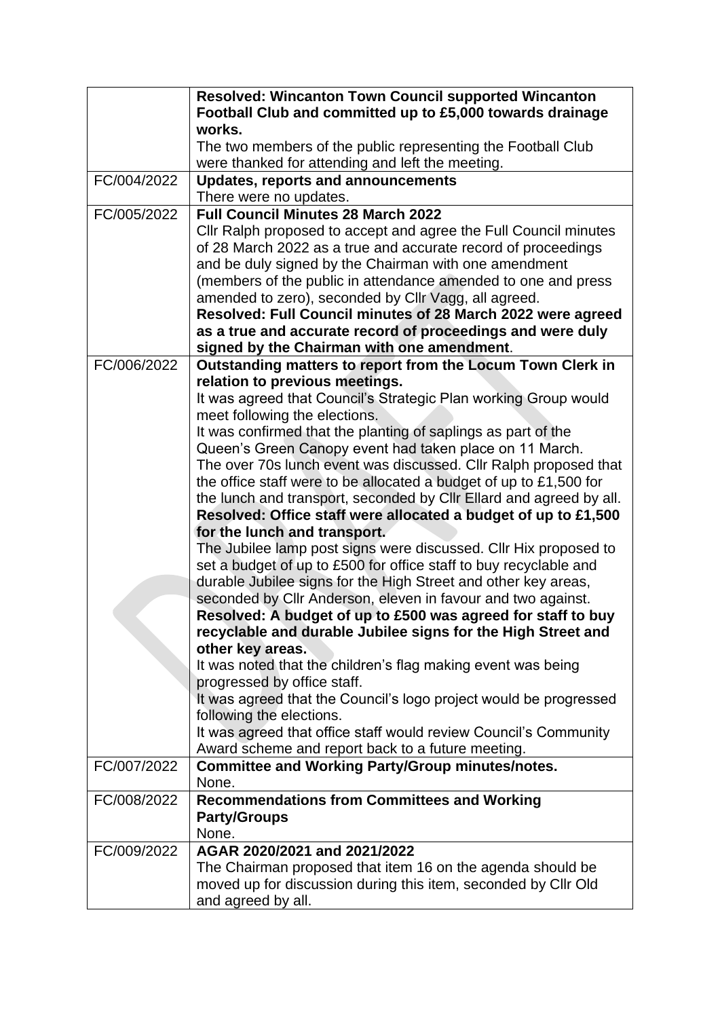|             | <b>Resolved: Wincanton Town Council supported Wincanton</b>         |
|-------------|---------------------------------------------------------------------|
|             | Football Club and committed up to £5,000 towards drainage           |
|             | works.                                                              |
|             | The two members of the public representing the Football Club        |
|             | were thanked for attending and left the meeting.                    |
| FC/004/2022 | <b>Updates, reports and announcements</b>                           |
|             | There were no updates.                                              |
| FC/005/2022 | <b>Full Council Minutes 28 March 2022</b>                           |
|             | Cllr Ralph proposed to accept and agree the Full Council minutes    |
|             | of 28 March 2022 as a true and accurate record of proceedings       |
|             | and be duly signed by the Chairman with one amendment               |
|             | (members of the public in attendance amended to one and press       |
|             | amended to zero), seconded by Cllr Vagg, all agreed.                |
|             | Resolved: Full Council minutes of 28 March 2022 were agreed         |
|             | as a true and accurate record of proceedings and were duly          |
|             | signed by the Chairman with one amendment.                          |
| FC/006/2022 | Outstanding matters to report from the Locum Town Clerk in          |
|             | relation to previous meetings.                                      |
|             | It was agreed that Council's Strategic Plan working Group would     |
|             | meet following the elections.                                       |
|             | It was confirmed that the planting of saplings as part of the       |
|             | Queen's Green Canopy event had taken place on 11 March.             |
|             | The over 70s lunch event was discussed. Cllr Ralph proposed that    |
|             | the office staff were to be allocated a budget of up to £1,500 for  |
|             | the lunch and transport, seconded by CIIr Ellard and agreed by all. |
|             | Resolved: Office staff were allocated a budget of up to £1,500      |
|             | for the lunch and transport.                                        |
|             | The Jubilee lamp post signs were discussed. Cllr Hix proposed to    |
|             | set a budget of up to £500 for office staff to buy recyclable and   |
|             | durable Jubilee signs for the High Street and other key areas,      |
|             | seconded by Cllr Anderson, eleven in favour and two against.        |
|             | Resolved: A budget of up to £500 was agreed for staff to buy        |
|             | recyclable and durable Jubilee signs for the High Street and        |
|             | other key areas.                                                    |
|             | It was noted that the children's flag making event was being        |
|             | progressed by office staff.                                         |
|             | It was agreed that the Council's logo project would be progressed   |
|             | following the elections.                                            |
|             | It was agreed that office staff would review Council's Community    |
|             | Award scheme and report back to a future meeting.                   |
| FC/007/2022 | <b>Committee and Working Party/Group minutes/notes.</b>             |
|             | None.                                                               |
| FC/008/2022 | <b>Recommendations from Committees and Working</b>                  |
|             | <b>Party/Groups</b>                                                 |
|             | None.                                                               |
| FC/009/2022 | AGAR 2020/2021 and 2021/2022                                        |
|             | The Chairman proposed that item 16 on the agenda should be          |
|             | moved up for discussion during this item, seconded by Cllr Old      |
|             | and agreed by all.                                                  |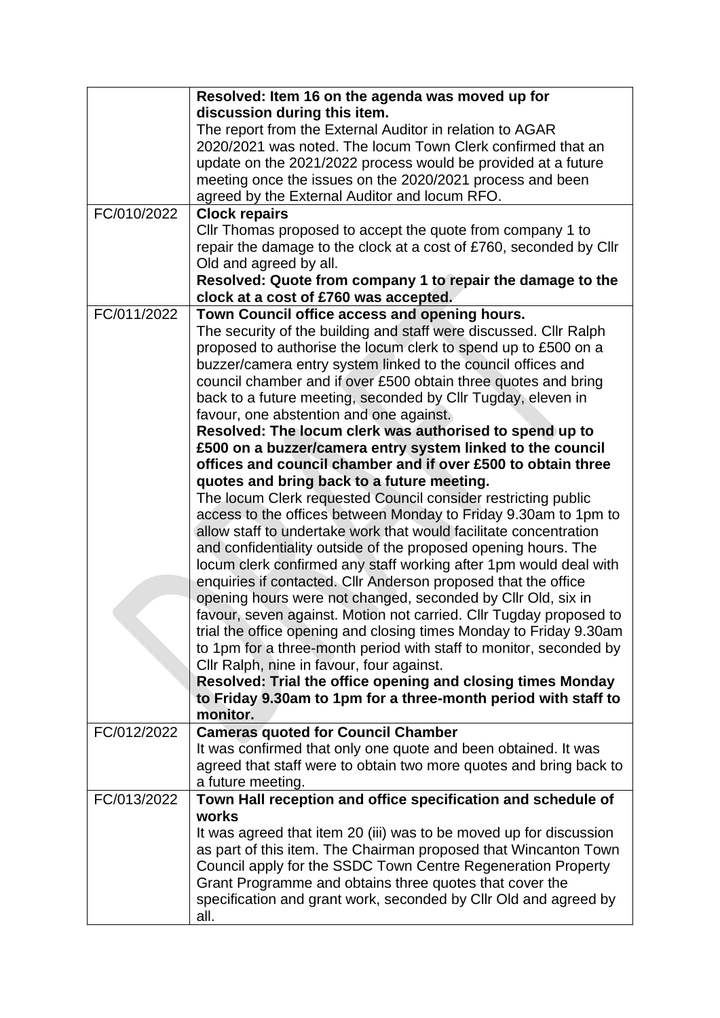|             | Resolved: Item 16 on the agenda was moved up for                   |
|-------------|--------------------------------------------------------------------|
|             | discussion during this item.                                       |
|             | The report from the External Auditor in relation to AGAR           |
|             | 2020/2021 was noted. The locum Town Clerk confirmed that an        |
|             | update on the 2021/2022 process would be provided at a future      |
|             | meeting once the issues on the 2020/2021 process and been          |
|             | agreed by the External Auditor and locum RFO.                      |
| FC/010/2022 | <b>Clock repairs</b>                                               |
|             | Cllr Thomas proposed to accept the quote from company 1 to         |
|             | repair the damage to the clock at a cost of £760, seconded by Cllr |
|             | Old and agreed by all.                                             |
|             | Resolved: Quote from company 1 to repair the damage to the         |
|             | clock at a cost of £760 was accepted.                              |
| FC/011/2022 | Town Council office access and opening hours.                      |
|             | The security of the building and staff were discussed. Cllr Ralph  |
|             | proposed to authorise the locum clerk to spend up to £500 on a     |
|             | buzzer/camera entry system linked to the council offices and       |
|             | council chamber and if over £500 obtain three quotes and bring     |
|             | back to a future meeting, seconded by Cllr Tugday, eleven in       |
|             | favour, one abstention and one against.                            |
|             | Resolved: The locum clerk was authorised to spend up to            |
|             | £500 on a buzzer/camera entry system linked to the council         |
|             | offices and council chamber and if over £500 to obtain three       |
|             | quotes and bring back to a future meeting.                         |
|             | The locum Clerk requested Council consider restricting public      |
|             | access to the offices between Monday to Friday 9.30am to 1pm to    |
|             | allow staff to undertake work that would facilitate concentration  |
|             | and confidentiality outside of the proposed opening hours. The     |
|             | locum clerk confirmed any staff working after 1pm would deal with  |
|             | enquiries if contacted. Cllr Anderson proposed that the office     |
|             | opening hours were not changed, seconded by Cllr Old, six in       |
|             | favour, seven against. Motion not carried. Cllr Tugday proposed to |
|             | trial the office opening and closing times Monday to Friday 9.30am |
|             | to 1pm for a three-month period with staff to monitor, seconded by |
|             | Cllr Ralph, nine in favour, four against.                          |
|             | Resolved: Trial the office opening and closing times Monday        |
|             | to Friday 9.30am to 1pm for a three-month period with staff to     |
|             | monitor.                                                           |
| FC/012/2022 | <b>Cameras quoted for Council Chamber</b>                          |
|             | It was confirmed that only one quote and been obtained. It was     |
|             | agreed that staff were to obtain two more quotes and bring back to |
|             | a future meeting.                                                  |
| FC/013/2022 | Town Hall reception and office specification and schedule of       |
|             | works                                                              |
|             | It was agreed that item 20 (iii) was to be moved up for discussion |
|             | as part of this item. The Chairman proposed that Wincanton Town    |
|             | Council apply for the SSDC Town Centre Regeneration Property       |
|             | Grant Programme and obtains three quotes that cover the            |
|             | specification and grant work, seconded by Cllr Old and agreed by   |
|             | all.                                                               |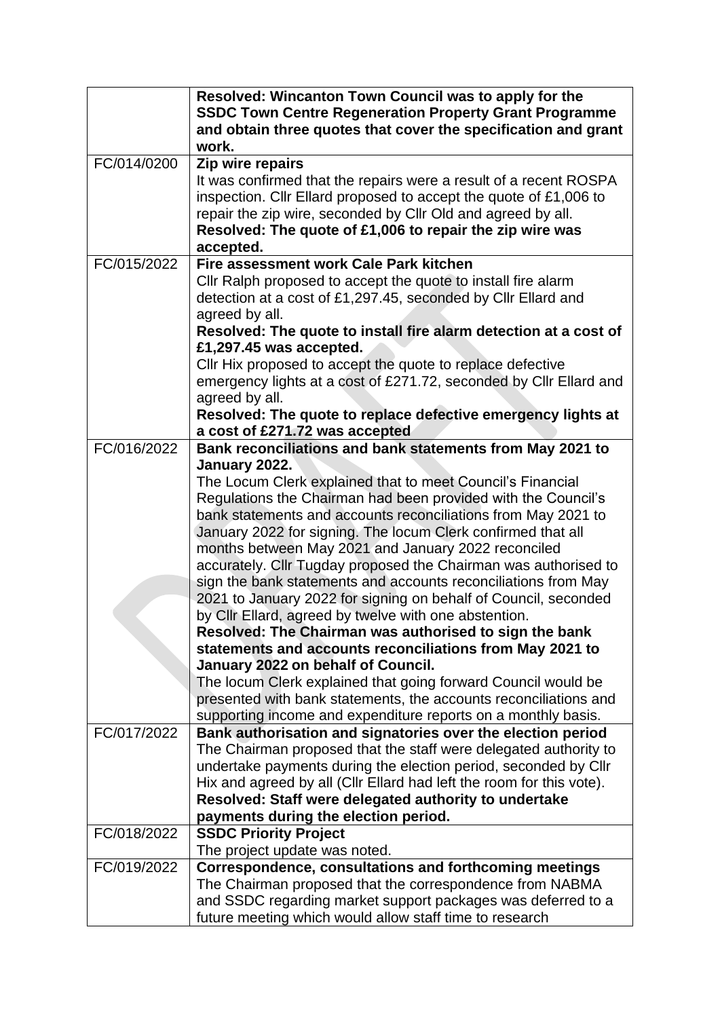|             | Resolved: Wincanton Town Council was to apply for the<br><b>SSDC Town Centre Regeneration Property Grant Programme</b> |
|-------------|------------------------------------------------------------------------------------------------------------------------|
|             | and obtain three quotes that cover the specification and grant<br>work.                                                |
| FC/014/0200 | Zip wire repairs                                                                                                       |
|             | It was confirmed that the repairs were a result of a recent ROSPA                                                      |
|             | inspection. Cllr Ellard proposed to accept the quote of £1,006 to                                                      |
|             | repair the zip wire, seconded by Cllr Old and agreed by all.                                                           |
|             | Resolved: The quote of £1,006 to repair the zip wire was                                                               |
|             | accepted.                                                                                                              |
| FC/015/2022 | Fire assessment work Cale Park kitchen                                                                                 |
|             | Cllr Ralph proposed to accept the quote to install fire alarm                                                          |
|             | detection at a cost of £1,297.45, seconded by Cllr Ellard and                                                          |
|             | agreed by all.                                                                                                         |
|             | Resolved: The quote to install fire alarm detection at a cost of                                                       |
|             | £1,297.45 was accepted.                                                                                                |
|             | CIIr Hix proposed to accept the quote to replace defective                                                             |
|             | emergency lights at a cost of £271.72, seconded by Cllr Ellard and                                                     |
|             | agreed by all.                                                                                                         |
|             | Resolved: The quote to replace defective emergency lights at<br>a cost of £271.72 was accepted                         |
| FC/016/2022 | Bank reconciliations and bank statements from May 2021 to                                                              |
|             | January 2022.                                                                                                          |
|             | The Locum Clerk explained that to meet Council's Financial                                                             |
|             | Regulations the Chairman had been provided with the Council's                                                          |
|             | bank statements and accounts reconciliations from May 2021 to                                                          |
|             | January 2022 for signing. The locum Clerk confirmed that all                                                           |
|             | months between May 2021 and January 2022 reconciled                                                                    |
|             | accurately. Cllr Tugday proposed the Chairman was authorised to                                                        |
|             | sign the bank statements and accounts reconciliations from May                                                         |
|             | 2021 to January 2022 for signing on behalf of Council, seconded                                                        |
|             | by Cllr Ellard, agreed by twelve with one abstention.                                                                  |
|             | Resolved: The Chairman was authorised to sign the bank                                                                 |
|             | statements and accounts reconciliations from May 2021 to                                                               |
|             | January 2022 on behalf of Council.                                                                                     |
|             | The locum Clerk explained that going forward Council would be                                                          |
|             | presented with bank statements, the accounts reconciliations and                                                       |
|             | supporting income and expenditure reports on a monthly basis.                                                          |
| FC/017/2022 | Bank authorisation and signatories over the election period                                                            |
|             | The Chairman proposed that the staff were delegated authority to                                                       |
|             | undertake payments during the election period, seconded by Cllr                                                        |
|             | Hix and agreed by all (Cllr Ellard had left the room for this vote).                                                   |
|             | Resolved: Staff were delegated authority to undertake                                                                  |
|             | payments during the election period.                                                                                   |
| FC/018/2022 | <b>SSDC Priority Project</b>                                                                                           |
|             | The project update was noted.                                                                                          |
| FC/019/2022 | Correspondence, consultations and forthcoming meetings                                                                 |
|             | The Chairman proposed that the correspondence from NABMA                                                               |
|             | and SSDC regarding market support packages was deferred to a                                                           |
|             | future meeting which would allow staff time to research                                                                |